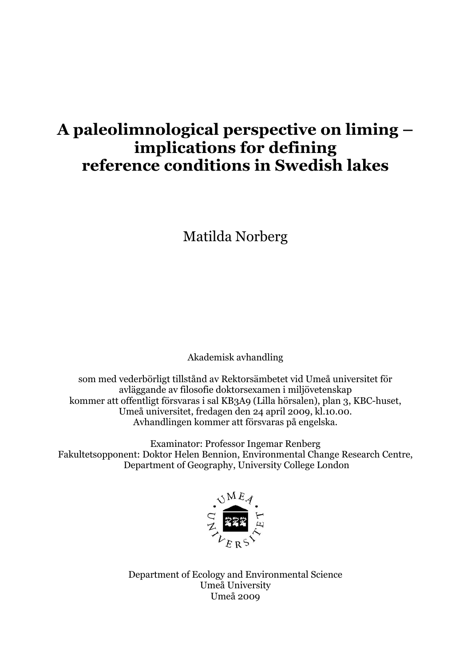# **A paleolimnological perspective on liming – implications for defining reference conditions in Swedish lakes**

Matilda Norberg

Akademisk avhandling

som med vederbörligt tillstånd av Rektorsämbetet vid Umeå universitet för avläggande av filosofie doktorsexamen i miljövetenskap kommer att offentligt försvaras i sal KB3A9 (Lilla hörsalen), plan 3, KBC-huset, Umeå universitet, fredagen den 24 april 2009, kl.10.00. Avhandlingen kommer att försvaras på engelska.

Examinator: Professor Ingemar Renberg Fakultetsopponent: Doktor Helen Bennion, Environmental Change Research Centre, Department of Geography, University College London



Department of Ecology and Environmental Science Umeå University Umeå 2009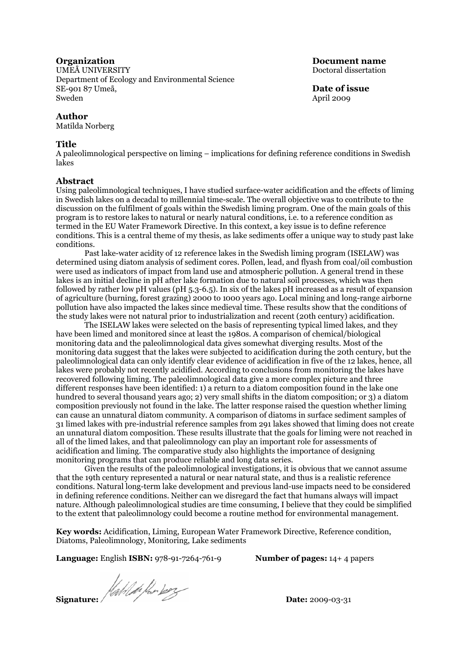UMEÅ UNIVERSITY UMENUMENTY Department of Ecology and Environmental Science SE-901 87 Umeå, **Date of issue** Sweden April 2009

#### **Author**

Matilda Norberg

#### **Title**

A paleolimnological perspective on liming – implications for defining reference conditions in Swedish lakes

#### **Abstract**

Using paleolimnological techniques, I have studied surface-water acidification and the effects of liming in Swedish lakes on a decadal to millennial time-scale. The overall objective was to contribute to the discussion on the fulfilment of goals within the Swedish liming program. One of the main goals of this program is to restore lakes to natural or nearly natural conditions, i.e. to a reference condition as termed in the EU Water Framework Directive. In this context, a key issue is to define reference conditions. This is a central theme of my thesis, as lake sediments offer a unique way to study past lake conditions.

Past lake-water acidity of 12 reference lakes in the Swedish liming program (ISELAW) was determined using diatom analysis of sediment cores. Pollen, lead, and flyash from coal/oil combustion were used as indicators of impact from land use and atmospheric pollution. A general trend in these lakes is an initial decline in pH after lake formation due to natural soil processes, which was then followed by rather low pH values (pH 5.3-6.5). In six of the lakes pH increased as a result of expansion of agriculture (burning, forest grazing) 2000 to 1000 years ago. Local mining and long-range airborne pollution have also impacted the lakes since medieval time. These results show that the conditions of the study lakes were not natural prior to industrialization and recent (20th century) acidification.

The ISELAW lakes were selected on the basis of representing typical limed lakes, and they have been limed and monitored since at least the 1980s. A comparison of chemical/biological monitoring data and the paleolimnological data gives somewhat diverging results. Most of the monitoring data suggest that the lakes were subjected to acidification during the 20th century, but the paleolimnological data can only identify clear evidence of acidification in five of the 12 lakes, hence, all lakes were probably not recently acidified. According to conclusions from monitoring the lakes have recovered following liming. The paleolimnological data give a more complex picture and three different responses have been identified: 1) a return to a diatom composition found in the lake one hundred to several thousand years ago; 2) very small shifts in the diatom composition; or 3) a diatom composition previously not found in the lake. The latter response raised the question whether liming can cause an unnatural diatom community. A comparison of diatoms in surface sediment samples of 31 limed lakes with pre-industrial reference samples from 291 lakes showed that liming does not create an unnatural diatom composition. These results illustrate that the goals for liming were not reached in all of the limed lakes, and that paleolimnology can play an important role for assessments of acidification and liming. The comparative study also highlights the importance of designing monitoring programs that can produce reliable and long data series.

Given the results of the paleolimnological investigations, it is obvious that we cannot assume that the 19th century represented a natural or near natural state, and thus is a realistic reference conditions. Natural long-term lake development and previous land-use impacts need to be considered in defining reference conditions. Neither can we disregard the fact that humans always will impact nature. Although paleolimnological studies are time consuming, I believe that they could be simplified to the extent that paleolimnology could become a routine method for environmental management.

**Key words:** Acidification, Liming, European Water Framework Directive, Reference condition, Diatoms, Paleolimnology, Monitoring, Lake sediments

**Language:** English **ISBN:** 978-91-7264-761-9 **Number of pages:** 14+ 4 papers

**Signature: And i** for boy

**Organization** Document name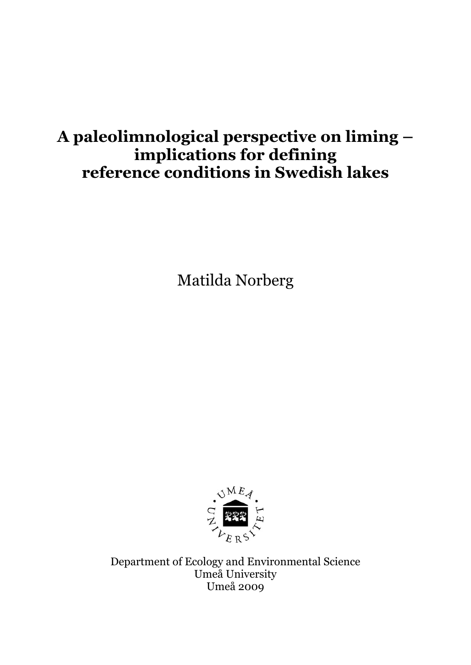# **A paleolimnological perspective on liming – implications for defining reference conditions in Swedish lakes**

Matilda Norberg



Department of Ecology and Environmental Science Umeå University Umeå 2009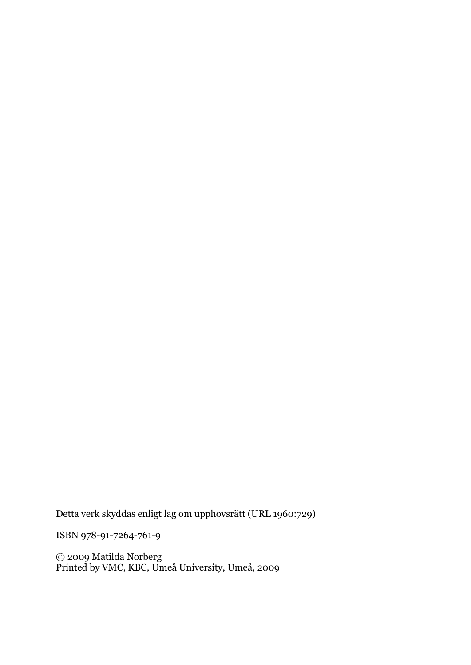Detta verk skyddas enligt lag om upphovsrätt (URL 1960:729)

ISBN 978-91-7264-761-9

© 2009 Matilda Norberg Printed by VMC, KBC, Umeå University, Umeå, 2009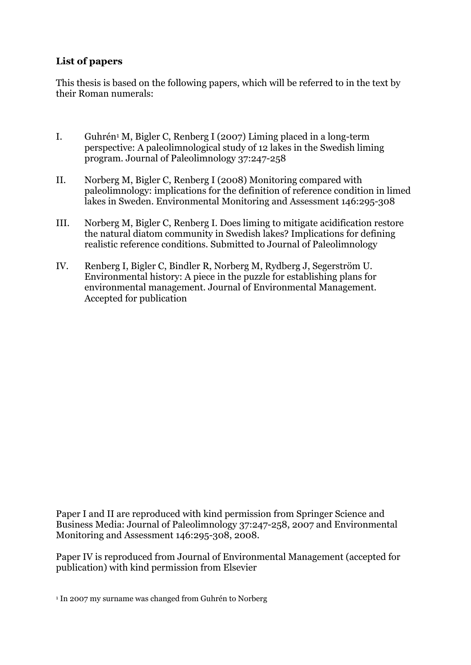### **List of papers**

This thesis is based on the following papers, which will be referred to in the text by their Roman numerals:

- I. Guhrén1 M, Bigler C, Renberg I (2007) Liming placed in a long-term perspective: A paleolimnological study of 12 lakes in the Swedish liming program. Journal of Paleolimnology 37:247-258
- II. Norberg M, Bigler C, Renberg I (2008) Monitoring compared with paleolimnology: implications for the definition of reference condition in limed lakes in Sweden. Environmental Monitoring and Assessment 146:295-308
- III. Norberg M, Bigler C, Renberg I. Does liming to mitigate acidification restore the natural diatom community in Swedish lakes? Implications for defining realistic reference conditions. Submitted to Journal of Paleolimnology
- IV. Renberg I, Bigler C, Bindler R, Norberg M, Rydberg J, Segerström U. Environmental history: A piece in the puzzle for establishing plans for environmental management. Journal of Environmental Management. Accepted for publication

Paper I and II are reproduced with kind permission from Springer Science and Business Media: Journal of Paleolimnology 37:247-258, 2007 and Environmental Monitoring and Assessment 146:295-308, 2008.

Paper IV is reproduced from Journal of Environmental Management (accepted for publication) with kind permission from Elsevier

<sup>1</sup> In 2007 my surname was changed from Guhrén to Norberg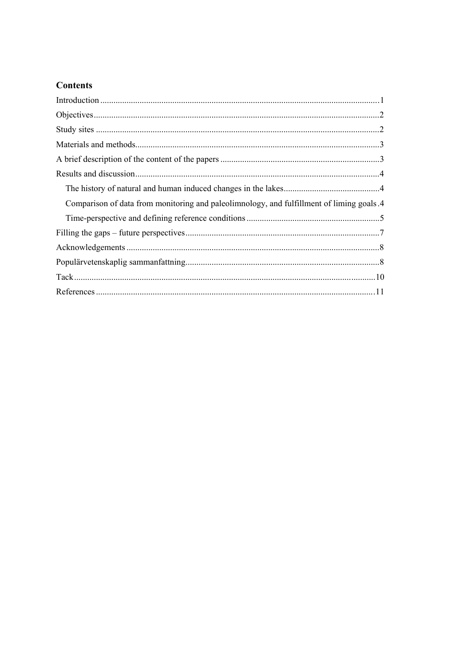## **Contents**

| Comparison of data from monitoring and paleolimnology, and fulfillment of liming goals 4 |
|------------------------------------------------------------------------------------------|
|                                                                                          |
|                                                                                          |
|                                                                                          |
|                                                                                          |
|                                                                                          |
|                                                                                          |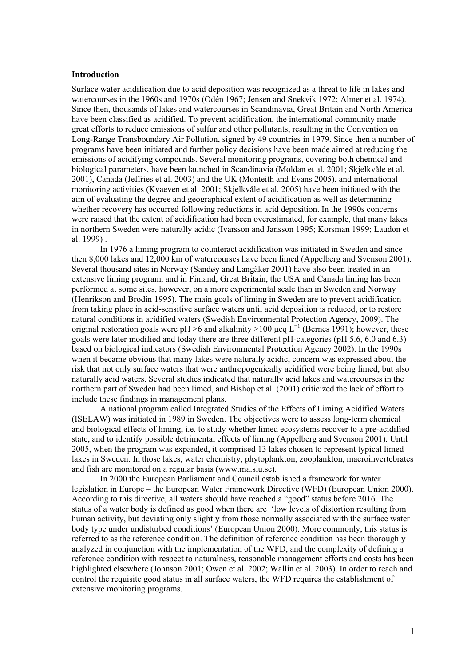#### <span id="page-6-0"></span>**Introduction**

Surface water acidification due to acid deposition was recognized as a threat to life in lakes and watercourses in the 1960s and 1970s (Odén 1967; Jensen and Snekvik 1972; Almer et al. 1974). Since then, thousands of lakes and watercourses in Scandinavia, Great Britain and North America have been classified as acidified. To prevent acidification, the international community made great efforts to reduce emissions of sulfur and other pollutants, resulting in the Convention on Long-Range Transboundary Air Pollution, signed by 49 countries in 1979. Since then a number of programs have been initiated and further policy decisions have been made aimed at reducing the emissions of acidifying compounds. Several monitoring programs, covering both chemical and biological parameters, have been launched in Scandinavia (Moldan et al. 2001; Skjelkvåle et al. 2001), Canada (Jeffries et al. 2003) and the UK (Monteith and Evans 2005), and international monitoring activities (Kvaeven et al. 2001; Skjelkvåle et al. 2005) have been initiated with the aim of evaluating the degree and geographical extent of acidification as well as determining whether recovery has occurred following reductions in acid deposition. In the 1990s concerns were raised that the extent of acidification had been overestimated, for example, that many lakes in northern Sweden were naturally acidic (Ivarsson and Jansson 1995; Korsman 1999; Laudon et al. 1999) .

In 1976 a liming program to counteract acidification was initiated in Sweden and since then 8,000 lakes and 12,000 km of watercourses have been limed (Appelberg and Svenson 2001). Several thousand sites in Norway (Sandøy and Langåker 2001) have also been treated in an extensive liming program, and in Finland, Great Britain, the USA and Canada liming has been performed at some sites, however, on a more experimental scale than in Sweden and Norway (Henrikson and Brodin 1995). The main goals of liming in Sweden are to prevent acidification from taking place in acid-sensitive surface waters until acid deposition is reduced, or to restore natural conditions in acidified waters (Swedish Environmental Protection Agency, 2009). The original restoration goals were pH >6 and alkalinity >100 µeq  $L^{-1}$  (Bernes 1991); however, these goals were later modified and today there are three different pH-categories (pH 5.6, 6.0 and 6.3) based on biological indicators (Swedish Environmental Protection Agency 2002). In the 1990s when it became obvious that many lakes were naturally acidic, concern was expressed about the risk that not only surface waters that were anthropogenically acidified were being limed, but also naturally acid waters. Several studies indicated that naturally acid lakes and watercourses in the northern part of Sweden had been limed, and Bishop et al. (2001) criticized the lack of effort to include these findings in management plans.

A national program called Integrated Studies of the Effects of Liming Acidified Waters (ISELAW) was initiated in 1989 in Sweden. The objectives were to assess long-term chemical and biological effects of liming, i.e. to study whether limed ecosystems recover to a pre-acidified state, and to identify possible detrimental effects of liming (Appelberg and Svenson 2001). Until 2005, when the program was expanded, it comprised 13 lakes chosen to represent typical limed lakes in Sweden. In those lakes, water chemistry, phytoplankton, zooplankton, macroinvertebrates and fish are monitored on a regular basis (www.ma.slu.se)*.*

In 2000 the European Parliament and Council established a framework for water legislation in Europe – the European Water Framework Directive (WFD) (European Union 2000). According to this directive, all waters should have reached a "good" status before 2016. The status of a water body is defined as good when there are 'low levels of distortion resulting from human activity, but deviating only slightly from those normally associated with the surface water body type under undisturbed conditions' (European Union 2000). More commonly, this status is referred to as the reference condition. The definition of reference condition has been thoroughly analyzed in conjunction with the implementation of the WFD, and the complexity of defining a reference condition with respect to naturalness, reasonable management efforts and costs has been highlighted elsewhere (Johnson 2001; Owen et al. 2002; Wallin et al. 2003). In order to reach and control the requisite good status in all surface waters, the WFD requires the establishment of extensive monitoring programs.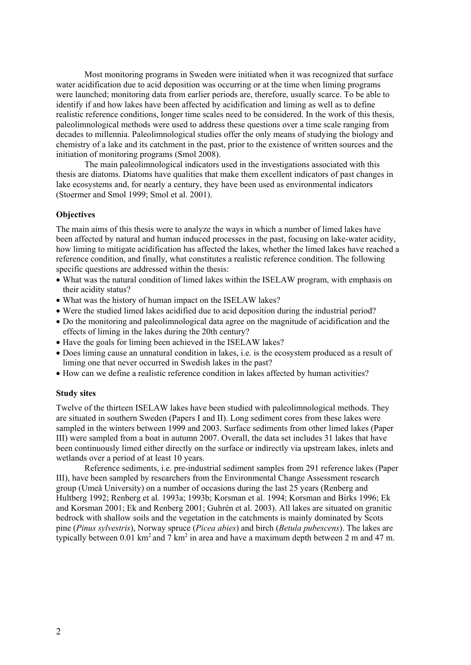<span id="page-7-0"></span>Most monitoring programs in Sweden were initiated when it was recognized that surface water acidification due to acid deposition was occurring or at the time when liming programs were launched; monitoring data from earlier periods are, therefore, usually scarce. To be able to identify if and how lakes have been affected by acidification and liming as well as to define realistic reference conditions, longer time scales need to be considered. In the work of this thesis, paleolimnological methods were used to address these questions over a time scale ranging from decades to millennia. Paleolimnological studies offer the only means of studying the biology and chemistry of a lake and its catchment in the past, prior to the existence of written sources and the initiation of monitoring programs (Smol 2008).

The main paleolimnological indicators used in the investigations associated with this thesis are diatoms. Diatoms have qualities that make them excellent indicators of past changes in lake ecosystems and, for nearly a century, they have been used as environmental indicators (Stoermer and Smol 1999; Smol et al. 2001).

### **Objectives**

The main aims of this thesis were to analyze the ways in which a number of limed lakes have been affected by natural and human induced processes in the past, focusing on lake-water acidity, how liming to mitigate acidification has affected the lakes, whether the limed lakes have reached a reference condition, and finally, what constitutes a realistic reference condition. The following specific questions are addressed within the thesis:

- ! What was the natural condition of limed lakes within the ISELAW program, with emphasis on their acidity status?
- ! What was the history of human impact on the ISELAW lakes?
- ! Were the studied limed lakes acidified due to acid deposition during the industrial period?
- ! Do the monitoring and paleolimnological data agree on the magnitude of acidification and the effects of liming in the lakes during the 20th century?
- ! Have the goals for liming been achieved in the ISELAW lakes?
- ! Does liming cause an unnatural condition in lakes, i.e. is the ecosystem produced as a result of liming one that never occurred in Swedish lakes in the past?
- ! How can we define a realistic reference condition in lakes affected by human activities?

#### **Study sites**

Twelve of the thirteen ISELAW lakes have been studied with paleolimnological methods. They are situated in southern Sweden (Papers I and II). Long sediment cores from these lakes were sampled in the winters between 1999 and 2003. Surface sediments from other limed lakes (Paper III) were sampled from a boat in autumn 2007. Overall, the data set includes 31 lakes that have been continuously limed either directly on the surface or indirectly via upstream lakes, inlets and wetlands over a period of at least 10 years.

Reference sediments, i.e. pre-industrial sediment samples from 291 reference lakes (Paper III), have been sampled by researchers from the Environmental Change Assessment research group (Umeå University) on a number of occasions during the last 25 years (Renberg and Hultberg 1992; Renberg et al. 1993a; 1993b; Korsman et al. 1994; Korsman and Birks 1996; Ek and Korsman 2001; Ek and Renberg 2001; Guhrén et al. 2003). All lakes are situated on granitic bedrock with shallow soils and the vegetation in the catchments is mainly dominated by Scots pine (*Pinus sylvestris*), Norway spruce (*Picea abies*) and birch (*Betula pubescens*). The lakes are typically between 0.01 km<sup>2</sup> and 7 km<sup>2</sup> in area and have a maximum depth between 2 m and 47 m.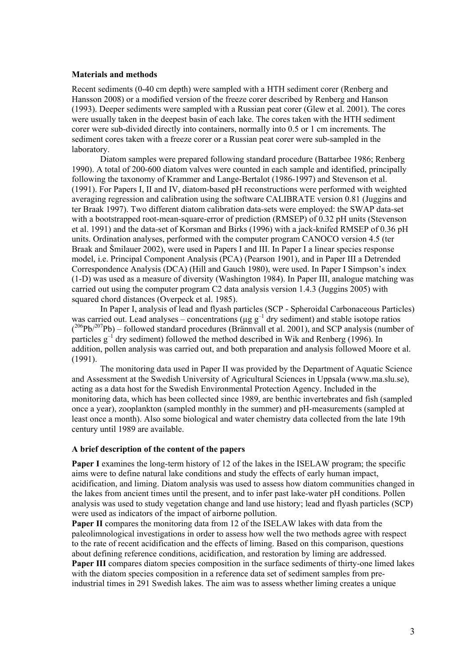#### <span id="page-8-0"></span>**Materials and methods**

Recent sediments (0-40 cm depth) were sampled with a HTH sediment corer (Renberg and Hansson 2008) or a modified version of the freeze corer described by Renberg and Hanson (1993). Deeper sediments were sampled with a Russian peat corer (Glew et al. 2001). The cores were usually taken in the deepest basin of each lake. The cores taken with the HTH sediment corer were sub-divided directly into containers, normally into 0.5 or 1 cm increments. The sediment cores taken with a freeze corer or a Russian peat corer were sub-sampled in the laboratory.

Diatom samples were prepared following standard procedure (Battarbee 1986; Renberg 1990). A total of 200-600 diatom valves were counted in each sample and identified, principally following the taxonomy of Krammer and Lange-Bertalot (1986-1997) and Stevenson et al. (1991). For Papers I, II and IV, diatom-based pH reconstructions were performed with weighted averaging regression and calibration using the software CALIBRATE version 0.81 (Juggins and ter Braak 1997). Two different diatom calibration data-sets were employed: the SWAP data-set with a bootstrapped root-mean-square-error of prediction (RMSEP) of 0.32 pH units (Stevenson et al. 1991) and the data-set of Korsman and Birks (1996) with a jack-knifed RMSEP of 0.36 pH units. Ordination analyses, performed with the computer program CANOCO version 4.5 (ter Braak and Šmilauer 2002), were used in Papers I and III. In Paper I a linear species response model, i.e. Principal Component Analysis (PCA) (Pearson 1901), and in Paper III a Detrended Correspondence Analysis (DCA) (Hill and Gauch 1980), were used. In Paper I Simpson's index (1-D) was used as a measure of diversity (Washington 1984). In Paper III, analogue matching was carried out using the computer program C2 data analysis version 1.4.3 (Juggins 2005) with squared chord distances (Overpeck et al. 1985).

In Paper I, analysis of lead and flyash particles (SCP - Spheroidal Carbonaceous Particles) was carried out. Lead analyses – concentrations ( $\mu$ g g<sup>-1</sup> dry sediment) and stable isotope ratios  $(^{206}Pb/^{207}Pb)$  – followed standard procedures (Brännvall et al. 2001), and SCP analysis (number of particles  $g^{-1}$  dry sediment) followed the method described in Wik and Renberg (1996). In addition, pollen analysis was carried out, and both preparation and analysis followed Moore et al. (1991).

The monitoring data used in Paper II was provided by the Department of Aquatic Science and Assessment at the Swedish University of Agricultural Sciences in Uppsala (www.ma.slu.se), acting as a data host for the Swedish Environmental Protection Agency. Included in the monitoring data, which has been collected since 1989, are benthic invertebrates and fish (sampled once a year), zooplankton (sampled monthly in the summer) and pH-measurements (sampled at least once a month). Also some biological and water chemistry data collected from the late 19th century until 1989 are available.

### **A brief description of the content of the papers**

**Paper I** examines the long-term history of 12 of the lakes in the ISELAW program; the specific aims were to define natural lake conditions and study the effects of early human impact, acidification, and liming. Diatom analysis was used to assess how diatom communities changed in the lakes from ancient times until the present, and to infer past lake-water pH conditions. Pollen analysis was used to study vegetation change and land use history; lead and flyash particles (SCP) were used as indicators of the impact of airborne pollution.

**Paper II** compares the monitoring data from 12 of the ISELAW lakes with data from the paleolimnological investigations in order to assess how well the two methods agree with respect to the rate of recent acidification and the effects of liming. Based on this comparison, questions about defining reference conditions, acidification, and restoration by liming are addressed. **Paper III** compares diatom species composition in the surface sediments of thirty-one limed lakes with the diatom species composition in a reference data set of sediment samples from preindustrial times in 291 Swedish lakes. The aim was to assess whether liming creates a unique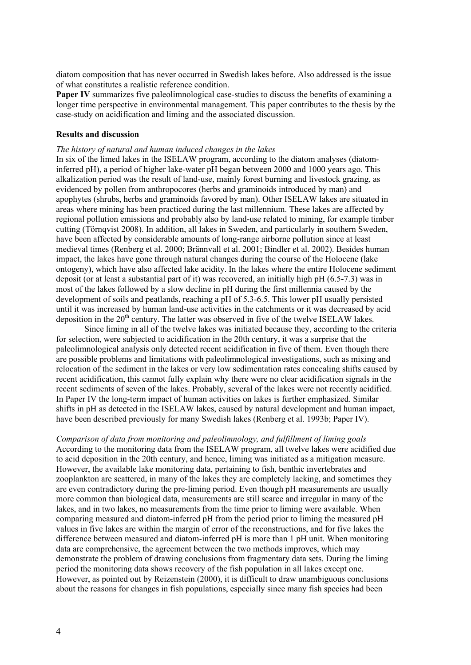<span id="page-9-0"></span>diatom composition that has never occurred in Swedish lakes before. Also addressed is the issue of what constitutes a realistic reference condition.

**Paper IV** summarizes five paleolimnological case-studies to discuss the benefits of examining a longer time perspective in environmental management. This paper contributes to the thesis by the case-study on acidification and liming and the associated discussion.

#### **Results and discussion**

#### *The history of natural and human induced changes in the lakes*

In six of the limed lakes in the ISELAW program, according to the diatom analyses (diatominferred pH), a period of higher lake-water pH began between 2000 and 1000 years ago. This alkalization period was the result of land-use, mainly forest burning and livestock grazing, as evidenced by pollen from anthropocores (herbs and graminoids introduced by man) and apophytes (shrubs, herbs and graminoids favored by man). Other ISELAW lakes are situated in areas where mining has been practiced during the last millennium. These lakes are affected by regional pollution emissions and probably also by land-use related to mining, for example timber cutting (Törnqvist 2008). In addition, all lakes in Sweden, and particularly in southern Sweden, have been affected by considerable amounts of long-range airborne pollution since at least medieval times (Renberg et al. 2000; Brännvall et al. 2001; Bindler et al. 2002). Besides human impact, the lakes have gone through natural changes during the course of the Holocene (lake ontogeny), which have also affected lake acidity. In the lakes where the entire Holocene sediment deposit (or at least a substantial part of it) was recovered, an initially high pH (6.5-7.3) was in most of the lakes followed by a slow decline in pH during the first millennia caused by the development of soils and peatlands, reaching a pH of 5.3-6.5. This lower pH usually persisted until it was increased by human land-use activities in the catchments or it was decreased by acid deposition in the  $20<sup>th</sup>$  century. The latter was observed in five of the twelve ISELAW lakes.

Since liming in all of the twelve lakes was initiated because they, according to the criteria for selection, were subjected to acidification in the 20th century, it was a surprise that the paleolimnological analysis only detected recent acidification in five of them. Even though there are possible problems and limitations with paleolimnological investigations, such as mixing and relocation of the sediment in the lakes or very low sedimentation rates concealing shifts caused by recent acidification, this cannot fully explain why there were no clear acidification signals in the recent sediments of seven of the lakes. Probably, several of the lakes were not recently acidified. In Paper IV the long-term impact of human activities on lakes is further emphasized. Similar shifts in pH as detected in the ISELAW lakes, caused by natural development and human impact, have been described previously for many Swedish lakes (Renberg et al. 1993b; Paper IV).

*Comparison of data from monitoring and paleolimnology, and fulfillment of liming goals*  According to the monitoring data from the ISELAW program, all twelve lakes were acidified due to acid deposition in the 20th century, and hence, liming was initiated as a mitigation measure. However, the available lake monitoring data, pertaining to fish, benthic invertebrates and zooplankton are scattered, in many of the lakes they are completely lacking, and sometimes they are even contradictory during the pre-liming period. Even though pH measurements are usually more common than biological data, measurements are still scarce and irregular in many of the lakes, and in two lakes, no measurements from the time prior to liming were available. When comparing measured and diatom-inferred pH from the period prior to liming the measured pH values in five lakes are within the margin of error of the reconstructions, and for five lakes the difference between measured and diatom-inferred pH is more than 1 pH unit. When monitoring data are comprehensive, the agreement between the two methods improves, which may demonstrate the problem of drawing conclusions from fragmentary data sets. During the liming period the monitoring data shows recovery of the fish population in all lakes except one. However, as pointed out by Reizenstein (2000), it is difficult to draw unambiguous conclusions about the reasons for changes in fish populations, especially since many fish species had been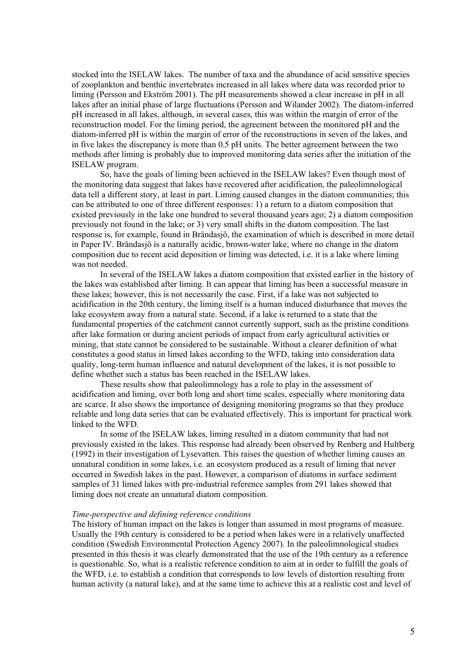<span id="page-10-0"></span>stocked into the ISELAW lakes. The number of taxa and the abundance of acid sensitive species of zooplankton and benthic invertebrates increased in all lakes where data was recorded prior to liming (Persson and Ekström 2001). The pH measurements showed a clear increase in pH in all lakes after an initial phase of large fluctuations (Persson and Wilander 2002). The diatom-inferred pH increased in all lakes, although, in several cases, this was within the margin of error of the reconstruction model. For the liming period, the agreement between the monitored pH and the diatom-inferred pH is within the margin of error of the reconstructions in seven of the lakes, and in five lakes the discrepancy is more than 0.5 pH units. The better agreement between the two methods after liming is probably due to improved monitoring data series after the initiation of the ISELAW program.

So, have the goals of liming been achieved in the ISELAW lakes? Even though most of the monitoring data suggest that lakes have recovered after acidification, the paleolimnological data tell a different story, at least in part. Liming caused changes in the diatom communities; this can be attributed to one of three different responses: 1) a return to a diatom composition that existed previously in the lake one hundred to several thousand years ago; 2) a diatom composition previously not found in the lake; or 3) very small shifts in the diatom composition. The last response is, for example, found in Brändasjö, the examination of which is described in more detail in Paper IV. Brändasjö is a naturally acidic, brown-water lake, where no change in the diatom composition due to recent acid deposition or liming was detected, i.e. it is a lake where liming was not needed.

In several of the ISELAW lakes a diatom composition that existed earlier in the history of the lakes was established after liming. It can appear that liming has been a successful measure in these lakes; however, this is not necessarily the case. First, if a lake was not subjected to acidification in the 20th century, the liming itself is a human induced disturbance that moves the lake ecosystem away from a natural state. Second, if a lake is returned to a state that the fundamental properties of the catchment cannot currently support, such as the pristine conditions after lake formation or during ancient periods of impact from early agricultural activities or mining, that state cannot be considered to be sustainable. Without a clearer definition of what constitutes a good status in limed lakes according to the WFD, taking into consideration data quality, long-term human influence and natural development of the lakes, it is not possible to define whether such a status has been reached in the ISELAW lakes.

These results show that paleolimnology has a role to play in the assessment of acidification and liming, over both long and short time scales, especially where monitoring data are scarce. It also shows the importance of designing monitoring programs so that they produce reliable and long data series that can be evaluated effectively. This is important for practical work linked to the WFD.

In some of the ISELAW lakes, liming resulted in a diatom community that had not previously existed in the lakes. This response had already been observed by Renberg and Hultberg (1992) in their investigation of Lysevatten. This raises the question of whether liming causes an unnatural condition in some lakes, i.e. an ecosystem produced as a result of liming that never occurred in Swedish lakes in the past. However, a comparison of diatoms in surface sediment samples of 31 limed lakes with pre-industrial reference samples from 291 lakes showed that liming does not create an unnatural diatom composition.

#### *Time-perspective and defining reference conditions*

The history of human impact on the lakes is longer than assumed in most programs of measure. Usually the 19th century is considered to be a period when lakes were in a relatively unaffected condition (Swedish Environmental Protection Agency 2007). In the paleolimnological studies presented in this thesis it was clearly demonstrated that the use of the 19th century as a reference is questionable. So, what is a realistic reference condition to aim at in order to fulfill the goals of the WFD, i.e. to establish a condition that corresponds to low levels of distortion resulting from human activity (a natural lake), and at the same time to achieve this at a realistic cost and level of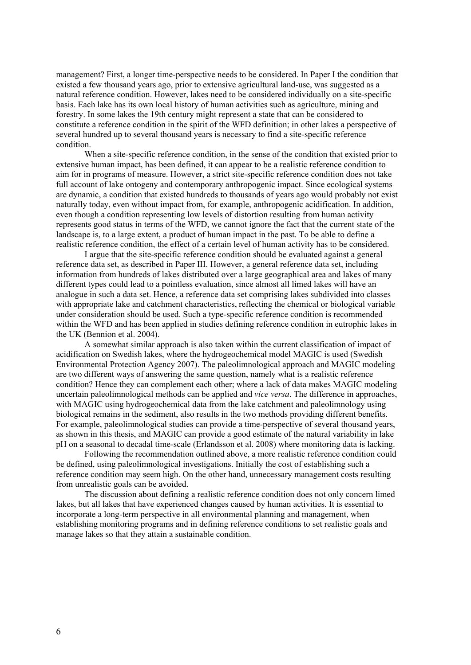management? First, a longer time-perspective needs to be considered. In Paper I the condition that existed a few thousand years ago, prior to extensive agricultural land-use, was suggested as a natural reference condition. However, lakes need to be considered individually on a site-specific basis. Each lake has its own local history of human activities such as agriculture, mining and forestry. In some lakes the 19th century might represent a state that can be considered to constitute a reference condition in the spirit of the WFD definition; in other lakes a perspective of several hundred up to several thousand years is necessary to find a site-specific reference condition.

When a site-specific reference condition, in the sense of the condition that existed prior to extensive human impact, has been defined, it can appear to be a realistic reference condition to aim for in programs of measure. However, a strict site-specific reference condition does not take full account of lake ontogeny and contemporary anthropogenic impact. Since ecological systems are dynamic, a condition that existed hundreds to thousands of years ago would probably not exist naturally today, even without impact from, for example, anthropogenic acidification. In addition, even though a condition representing low levels of distortion resulting from human activity represents good status in terms of the WFD, we cannot ignore the fact that the current state of the landscape is, to a large extent, a product of human impact in the past. To be able to define a realistic reference condition, the effect of a certain level of human activity has to be considered.

I argue that the site-specific reference condition should be evaluated against a general reference data set, as described in Paper III. However, a general reference data set, including information from hundreds of lakes distributed over a large geographical area and lakes of many different types could lead to a pointless evaluation, since almost all limed lakes will have an analogue in such a data set. Hence, a reference data set comprising lakes subdivided into classes with appropriate lake and catchment characteristics, reflecting the chemical or biological variable under consideration should be used. Such a type-specific reference condition is recommended within the WFD and has been applied in studies defining reference condition in eutrophic lakes in the UK (Bennion et al. 2004).

A somewhat similar approach is also taken within the current classification of impact of acidification on Swedish lakes, where the hydrogeochemical model MAGIC is used (Swedish Environmental Protection Agency 2007). The paleolimnological approach and MAGIC modeling are two different ways of answering the same question, namely what is a realistic reference condition? Hence they can complement each other; where a lack of data makes MAGIC modeling uncertain paleolimnological methods can be applied and *vice versa*. The difference in approaches, with MAGIC using hydrogeochemical data from the lake catchment and paleolimnology using biological remains in the sediment, also results in the two methods providing different benefits. For example, paleolimnological studies can provide a time-perspective of several thousand years, as shown in this thesis, and MAGIC can provide a good estimate of the natural variability in lake pH on a seasonal to decadal time-scale (Erlandsson et al. 2008) where monitoring data is lacking.

Following the recommendation outlined above, a more realistic reference condition could be defined, using paleolimnological investigations. Initially the cost of establishing such a reference condition may seem high. On the other hand, unnecessary management costs resulting from unrealistic goals can be avoided.

The discussion about defining a realistic reference condition does not only concern limed lakes, but all lakes that have experienced changes caused by human activities. It is essential to incorporate a long-term perspective in all environmental planning and management, when establishing monitoring programs and in defining reference conditions to set realistic goals and manage lakes so that they attain a sustainable condition.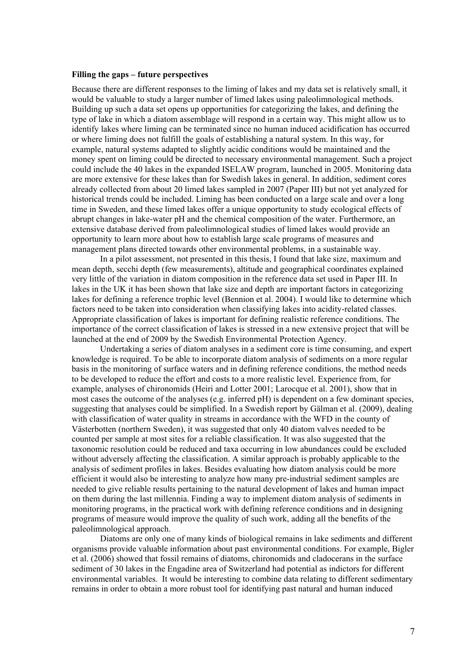#### <span id="page-12-0"></span>**Filling the gaps – future perspectives**

Because there are different responses to the liming of lakes and my data set is relatively small, it would be valuable to study a larger number of limed lakes using paleolimnological methods. Building up such a data set opens up opportunities for categorizing the lakes, and defining the type of lake in which a diatom assemblage will respond in a certain way. This might allow us to identify lakes where liming can be terminated since no human induced acidification has occurred or where liming does not fulfill the goals of establishing a natural system. In this way, for example, natural systems adapted to slightly acidic conditions would be maintained and the money spent on liming could be directed to necessary environmental management. Such a project could include the 40 lakes in the expanded ISELAW program, launched in 2005. Monitoring data are more extensive for these lakes than for Swedish lakes in general. In addition, sediment cores already collected from about 20 limed lakes sampled in 2007 (Paper III) but not yet analyzed for historical trends could be included. Liming has been conducted on a large scale and over a long time in Sweden, and these limed lakes offer a unique opportunity to study ecological effects of abrupt changes in lake-water pH and the chemical composition of the water. Furthermore, an extensive database derived from paleolimnological studies of limed lakes would provide an opportunity to learn more about how to establish large scale programs of measures and management plans directed towards other environmental problems, in a sustainable way.

In a pilot assessment, not presented in this thesis, I found that lake size, maximum and mean depth, secchi depth (few measurements), altitude and geographical coordinates explained very little of the variation in diatom composition in the reference data set used in Paper III. In lakes in the UK it has been shown that lake size and depth are important factors in categorizing lakes for defining a reference trophic level (Bennion et al. 2004). I would like to determine which factors need to be taken into consideration when classifying lakes into acidity-related classes. Appropriate classification of lakes is important for defining realistic reference conditions. The importance of the correct classification of lakes is stressed in a new extensive project that will be launched at the end of 2009 by the Swedish Environmental Protection Agency.

Undertaking a series of diatom analyses in a sediment core is time consuming, and expert knowledge is required. To be able to incorporate diatom analysis of sediments on a more regular basis in the monitoring of surface waters and in defining reference conditions, the method needs to be developed to reduce the effort and costs to a more realistic level. Experience from, for example, analyses of chironomids (Heiri and Lotter 2001; Larocque et al. 2001), show that in most cases the outcome of the analyses (e.g. inferred pH) is dependent on a few dominant species, suggesting that analyses could be simplified. In a Swedish report by Gälman et al. (2009), dealing with classification of water quality in streams in accordance with the WFD in the county of Västerbotten (northern Sweden), it was suggested that only 40 diatom valves needed to be counted per sample at most sites for a reliable classification. It was also suggested that the taxonomic resolution could be reduced and taxa occurring in low abundances could be excluded without adversely affecting the classification. A similar approach is probably applicable to the analysis of sediment profiles in lakes. Besides evaluating how diatom analysis could be more efficient it would also be interesting to analyze how many pre-industrial sediment samples are needed to give reliable results pertaining to the natural development of lakes and human impact on them during the last millennia. Finding a way to implement diatom analysis of sediments in monitoring programs, in the practical work with defining reference conditions and in designing programs of measure would improve the quality of such work, adding all the benefits of the paleolimnological approach.

Diatoms are only one of many kinds of biological remains in lake sediments and different organisms provide valuable information about past environmental conditions. For example, Bigler et al. (2006) showed that fossil remains of diatoms, chironomids and cladocerans in the surface sediment of 30 lakes in the Engadine area of Switzerland had potential as indictors for different environmental variables. It would be interesting to combine data relating to different sedimentary remains in order to obtain a more robust tool for identifying past natural and human induced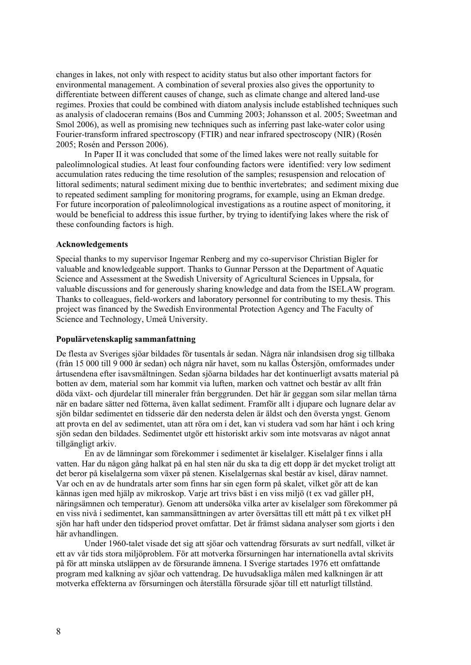<span id="page-13-0"></span>changes in lakes, not only with respect to acidity status but also other important factors for environmental management. A combination of several proxies also gives the opportunity to differentiate between different causes of change, such as climate change and altered land-use regimes. Proxies that could be combined with diatom analysis include established techniques such as analysis of cladoceran remains (Bos and Cumming 2003; Johansson et al. 2005; Sweetman and Smol 2006), as well as promising new techniques such as inferring past lake-water color using Fourier-transform infrared spectroscopy (FTIR) and near infrared spectroscopy (NIR) (Rosén 2005; Rosén and Persson 2006).

In Paper II it was concluded that some of the limed lakes were not really suitable for paleolimnological studies. At least four confounding factors were identified: very low sediment accumulation rates reducing the time resolution of the samples; resuspension and relocation of littoral sediments; natural sediment mixing due to benthic invertebrates; and sediment mixing due to repeated sediment sampling for monitoring programs, for example, using an Ekman dredge. For future incorporation of paleolimnological investigations as a routine aspect of monitoring, it would be beneficial to address this issue further, by trying to identifying lakes where the risk of these confounding factors is high.

#### **Acknowledgements**

Special thanks to my supervisor Ingemar Renberg and my co-supervisor Christian Bigler for valuable and knowledgeable support. Thanks to Gunnar Persson at the Department of Aquatic Science and Assessment at the Swedish University of Agricultural Sciences in Uppsala, for valuable discussions and for generously sharing knowledge and data from the ISELAW program. Thanks to colleagues, field-workers and laboratory personnel for contributing to my thesis. This project was financed by the Swedish Environmental Protection Agency and The Faculty of Science and Technology, Umeå University.

#### **Populärvetenskaplig sammanfattning**

De flesta av Sveriges sjöar bildades för tusentals år sedan. Några när inlandsisen drog sig tillbaka (från 15 000 till 9 000 år sedan) och några när havet, som nu kallas Östersjön, omformades under årtusendena efter isavsmältningen. Sedan sjöarna bildades har det kontinuerligt avsatts material på botten av dem, material som har kommit via luften, marken och vattnet och består av allt från döda växt- och djurdelar till mineraler från berggrunden. Det här är geggan som silar mellan tårna när en badare sätter ned fötterna, även kallat sediment. Framför allt i djupare och lugnare delar av sjön bildar sedimentet en tidsserie där den nedersta delen är äldst och den översta yngst. Genom att provta en del av sedimentet, utan att röra om i det, kan vi studera vad som har hänt i och kring sjön sedan den bildades. Sedimentet utgör ett historiskt arkiv som inte motsvaras av något annat tillgängligt arkiv.

En av de lämningar som förekommer i sedimentet är kiselalger. Kiselalger finns i alla vatten. Har du någon gång halkat på en hal sten när du ska ta dig ett dopp är det mycket troligt att det beror på kiselalgerna som växer på stenen. Kiselalgernas skal består av kisel, därav namnet. Var och en av de hundratals arter som finns har sin egen form på skalet, vilket gör att de kan kännas igen med hjälp av mikroskop. Varje art trivs bäst i en viss miljö (t ex vad gäller pH, näringsämnen och temperatur). Genom att undersöka vilka arter av kiselalger som förekommer på en viss nivå i sedimentet, kan sammansättningen av arter översättas till ett mått på t ex vilket pH sjön har haft under den tidsperiod provet omfattar. Det är främst sådana analyser som gjorts i den här avhandlingen.

Under 1960-talet visade det sig att sjöar och vattendrag försurats av surt nedfall, vilket är ett av vår tids stora miljöproblem. För att motverka försurningen har internationella avtal skrivits på för att minska utsläppen av de försurande ämnena. I Sverige startades 1976 ett omfattande program med kalkning av sjöar och vattendrag. De huvudsakliga målen med kalkningen är att motverka effekterna av försurningen och återställa försurade sjöar till ett naturligt tillstånd.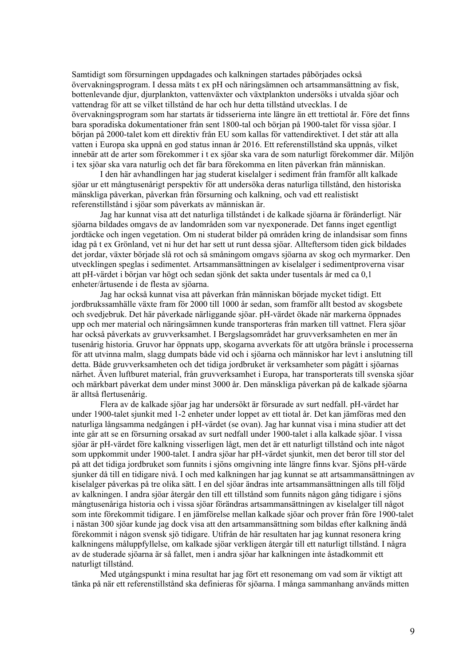Samtidigt som försurningen uppdagades och kalkningen startades påbörjades också övervakningsprogram. I dessa mäts t ex pH och näringsämnen och artsammansättning av fisk, bottenlevande djur, djurplankton, vattenväxter och växtplankton undersöks i utvalda sjöar och vattendrag för att se vilket tillstånd de har och hur detta tillstånd utvecklas. I de övervakningsprogram som har startats är tidsserierna inte längre än ett trettiotal år. Före det finns bara sporadiska dokumentationer från sent 1800-tal och början på 1900-talet för vissa sjöar. I början på 2000-talet kom ett direktiv från EU som kallas för vattendirektivet. I det står att alla vatten i Europa ska uppnå en god status innan år 2016. Ett referenstillstånd ska uppnås, vilket innebär att de arter som förekommer i t ex sjöar ska vara de som naturligt förekommer där. Miljön i tex sjöar ska vara naturlig och det får bara förekomma en liten påverkan från människan.

I den här avhandlingen har jag studerat kiselalger i sediment från framför allt kalkade sjöar ur ett mångtusenårigt perspektiv för att undersöka deras naturliga tillstånd, den historiska mänskliga påverkan, påverkan från försurning och kalkning, och vad ett realistiskt referenstillstånd i sjöar som påverkats av människan är.

Jag har kunnat visa att det naturliga tillståndet i de kalkade sjöarna är föränderligt. När sjöarna bildades omgavs de av landområden som var nyexponerade. Det fanns inget egentligt jordtäcke och ingen vegetation. Om ni studerat bilder på områden kring de inlandsisar som finns idag på t ex Grönland, vet ni hur det har sett ut runt dessa sjöar. Allteftersom tiden gick bildades det jordar, växter började slå rot och så småningom omgavs sjöarna av skog och myrmarker. Den utvecklingen speglas i sedimentet. Artsammansättningen av kiselalger i sedimentproverna visar att pH-värdet i början var högt och sedan sjönk det sakta under tusentals år med ca 0,1 enheter/årtusende i de flesta av sjöarna.

Jag har också kunnat visa att påverkan från människan började mycket tidigt. Ett jordbrukssamhälle växte fram för 2000 till 1000 år sedan, som framför allt bestod av skogsbete och svedjebruk. Det här påverkade närliggande sjöar. pH-värdet ökade när markerna öppnades upp och mer material och näringsämnen kunde transporteras från marken till vattnet. Flera sjöar har också påverkats av gruvverksamhet. I Bergslagsområdet har gruvverksamheten en mer än tusenårig historia. Gruvor har öppnats upp, skogarna avverkats för att utgöra bränsle i processerna för att utvinna malm, slagg dumpats både vid och i sjöarna och människor har levt i anslutning till detta. Både gruvverksamheten och det tidiga jordbruket är verksamheter som pågått i sjöarnas närhet. Även luftburet material, från gruvverksamhet i Europa, har transporterats till svenska sjöar och märkbart påverkat dem under minst 3000 år. Den mänskliga påverkan på de kalkade sjöarna är alltså flertusenårig.

Flera av de kalkade sjöar jag har undersökt är försurade av surt nedfall. pH-värdet har under 1900-talet sjunkit med 1-2 enheter under loppet av ett tiotal år. Det kan jämföras med den naturliga långsamma nedgången i pH-värdet (se ovan). Jag har kunnat visa i mina studier att det inte går att se en försurning orsakad av surt nedfall under 1900-talet i alla kalkade sjöar. I vissa sjöar är pH-värdet före kalkning visserligen lågt, men det är ett naturligt tillstånd och inte något som uppkommit under 1900-talet. I andra sjöar har pH-värdet sjunkit, men det beror till stor del på att det tidiga jordbruket som funnits i sjöns omgivning inte längre finns kvar. Sjöns pH-värde sjunker då till en tidigare nivå. I och med kalkningen har jag kunnat se att artsammansättningen av kiselalger påverkas på tre olika sätt. I en del sjöar ändras inte artsammansättningen alls till följd av kalkningen. I andra sjöar återgår den till ett tillstånd som funnits någon gång tidigare i sjöns mångtusenåriga historia och i vissa sjöar förändras artsammansättningen av kiselalger till något som inte förekommit tidigare. I en jämförelse mellan kalkade sjöar och prover från före 1900-talet i nästan 300 sjöar kunde jag dock visa att den artsammansättning som bildas efter kalkning ändå förekommit i någon svensk sjö tidigare. Utifrån de här resultaten har jag kunnat resonera kring kalkningens måluppfyllelse, om kalkade sjöar verkligen återgår till ett naturligt tillstånd. I några av de studerade sjöarna är så fallet, men i andra sjöar har kalkningen inte åstadkommit ett naturligt tillstånd.

Med utgångspunkt i mina resultat har jag fört ett resonemang om vad som är viktigt att tänka på när ett referenstillstånd ska definieras för sjöarna. I många sammanhang används mitten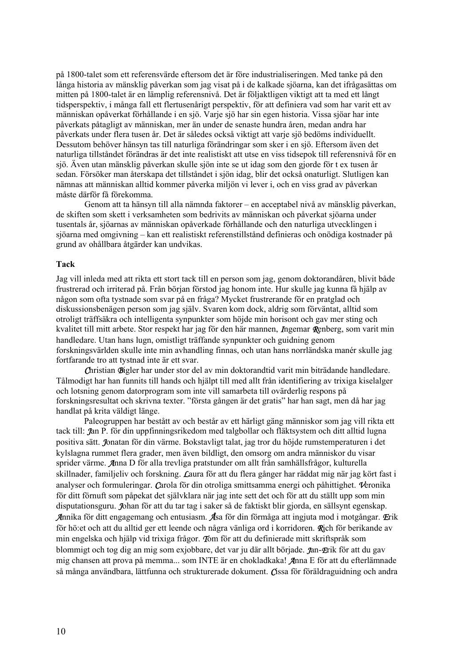<span id="page-15-0"></span>på 1800-talet som ett referensvärde eftersom det är före industrialiseringen. Med tanke på den långa historia av mänsklig påverkan som jag visat på i de kalkade sjöarna, kan det ifrågasättas om mitten på 1800-talet är en lämplig referensnivå. Det är följaktligen viktigt att ta med ett långt tidsperspektiv, i många fall ett flertusenårigt perspektiv, för att definiera vad som har varit ett av människan opåverkat förhållande i en sjö. Varje sjö har sin egen historia. Vissa sjöar har inte påverkats påtagligt av människan, mer än under de senaste hundra åren, medan andra har påverkats under flera tusen år. Det är således också viktigt att varje sjö bedöms individuellt. Dessutom behöver hänsyn tas till naturliga förändringar som sker i en sjö. Eftersom även det naturliga tillståndet förändras är det inte realistiskt att utse en viss tidsepok till referensnivå för en sjö. Även utan mänsklig påverkan skulle sjön inte se ut idag som den gjorde för t ex tusen år sedan. Försöker man återskapa det tillståndet i sjön idag, blir det också onaturligt. Slutligen kan nämnas att människan alltid kommer påverka miljön vi lever i, och en viss grad av påverkan måste därför få förekomma.

Genom att ta hänsyn till alla nämnda faktorer – en acceptabel nivå av mänsklig påverkan, de skiften som skett i verksamheten som bedrivits av människan och påverkat sjöarna under tusentals år, sjöarnas av människan opåverkade förhållande och den naturliga utvecklingen i sjöarna med omgivning – kan ett realistiskt referenstillstånd definieras och onödiga kostnader på grund av ohållbara åtgärder kan undvikas.

#### **Tack**

Jag vill inleda med att rikta ett stort tack till en person som jag, genom doktorandåren, blivit både frustrerad och irriterad på. Från början förstod jag honom inte. Hur skulle jag kunna få hjälp av någon som ofta tystnade som svar på en fråga? Mycket frustrerande för en pratglad och diskussionsbenägen person som jag själv. Svaren kom dock, aldrig som förväntat, alltid som otroligt träffsäkra och intelligenta synpunkter som höjde min horisont och gav mer sting och kvalitet till mitt arbete. Stor respekt har jag för den här mannen, Ingemar Renberg, som varit min handledare. Utan hans lugn, omistligt träffande synpunkter och guidning genom forskningsvärlden skulle inte min avhandling finnas, och utan hans norrländska manér skulle jag fortfarande tro att tystnad inte är ett svar.

Christian Bigler har under stor del av min doktorandtid varit min biträdande handledare. Tålmodigt har han funnits till hands och hjälpt till med allt från identifiering av trixiga kiselalger och lotsning genom datorprogram som inte vill samarbeta till ovärderlig respons på forskningsresultat och skrivna texter. "första gången är det gratis" har han sagt, men då har jag handlat på krita väldigt länge.

Paleogruppen har bestått av och består av ett härligt gäng människor som jag vill rikta ett tack till: Jan P. för din uppfinningsrikedom med talgbollar och fläktsystem och ditt alltid lugna positiva sätt. Jonatan för din värme. Bokstavligt talat, jag tror du höjde rumstemperaturen i det kylslagna rummet flera grader, men även bildligt, den omsorg om andra människor du visar sprider värme. Anna D för alla trevliga pratstunder om allt från samhällsfrågor, kulturella skillnader, familjeliv och forskning. Laura för att du flera gånger har räddat mig när jag kört fast i analyser och formuleringar. Carola för din otroliga smittsamma energi och påhittighet. Veronika för ditt förnuft som påpekat det självklara när jag inte sett det och för att du ställt upp som min disputationsguru. Johan för att du tar tag i saker så de faktiskt blir gjorda, en sällsynt egenskap. Annika för ditt engagemang och entusiasm. Åsa för din förmåga att ingjuta mod i motgångar. Erik för hö:et och att du alltid ger ett leende och några vänliga ord i korridoren. Rich för berikande av min engelska och hjälp vid trixiga frågor. Tom för att du definierade mitt skriftspråk som blommigt och tog dig an mig som exiobbare, det var ju där allt började. Tan-Erik för att du gav mig chansen att prova på memma... som INTE är en chokladkaka! Anna E för att du efterlämnade så många användbara, lättfunna och strukturerade dokument. Cissa för föräldraguidning och andra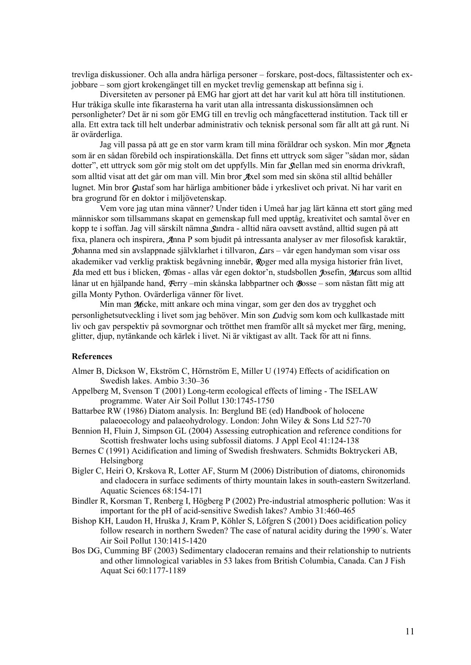<span id="page-16-0"></span>trevliga diskussioner. Och alla andra härliga personer – forskare, post-docs, fältassistenter och exjobbare – som gjort krokengänget till en mycket trevlig gemenskap att befinna sig i.

Diversiteten av personer på EMG har gjort att det har varit kul att höra till institutionen. Hur tråkiga skulle inte fikarasterna ha varit utan alla intressanta diskussionsämnen och personligheter? Det är ni som gör EMG till en trevlig och mångfacetterad institution. Tack till er alla. Ett extra tack till helt underbar administrativ och teknisk personal som får allt att gå runt. Ni är ovärderliga.

Jag vill passa på att ge en stor varm kram till mina föräldrar och syskon. Min mor Agneta som är en sådan förebild och inspirationskälla. Det finns ett uttryck som säger "sådan mor, sådan dotter", ett uttryck som gör mig stolt om det uppfylls. Min far Stellan med sin enorma drivkraft, som alltid visat att det går om man vill. Min bror Axel som med sin sköna stil alltid behåller lugnet. Min bror Gustaf som har härliga ambitioner både i yrkeslivet och privat. Ni har varit en bra grogrund för en doktor i miljövetenskap.

Vem vore jag utan mina vänner? Under tiden i Umeå har jag lärt känna ett stort gäng med människor som tillsammans skapat en gemenskap full med upptåg, kreativitet och samtal över en kopp te i soffan. Jag vill särskilt nämna Sandra - alltid nära oavsett avstånd, alltid sugen på att fixa, planera och inspirera, Anna P som bjudit på intressanta analyser av mer filosofisk karaktär, Johanna med sin avslappnade självklarhet i tillvaron, Lars – vår egen handyman som visar oss akademiker vad verklig praktisk begåvning innebär, Roger med alla mysiga historier från livet, Ida med ett bus i blicken, Tomas - allas vår egen doktor'n, studsbollen Josefin, Marcus som alltid lånar ut en hjälpande hand, Ferry –min skånska labbpartner och Bosse – som nästan fått mig att gilla Monty Python. Ovärderliga vänner för livet.

Min man Micke, mitt ankare och mina vingar, som ger den dos av trygghet och personlighetsutveckling i livet som jag behöver. Min son Ludvig som kom och kullkastade mitt liv och gav perspektiv på sovmorgnar och trötthet men framför allt så mycket mer färg, mening, glitter, djup, nytänkande och kärlek i livet. Ni är viktigast av allt. Tack för att ni finns.

#### **References**

- Almer B, Dickson W, Ekström C, Hörnström E, Miller U (1974) Effects of acidification on Swedish lakes. Ambio 3:30–36
- Appelberg M, Svenson T (2001) Long-term ecological effects of liming The ISELAW programme. Water Air Soil Pollut 130:1745-1750
- Battarbee RW (1986) Diatom analysis. In: Berglund BE (ed) Handbook of holocene palaeoecology and palaeohydrology. London: John Wiley & Sons Ltd 527-70
- Bennion H, Fluin J, Simpson GL (2004) Assessing eutrophication and reference conditions for Scottish freshwater lochs using subfossil diatoms. J Appl Ecol 41:124-138
- Bernes C (1991) Acidification and liming of Swedish freshwaters. Schmidts Boktryckeri AB, Helsingborg
- Bigler C, Heiri O, Krskova R, Lotter AF, Sturm M (2006) Distribution of diatoms, chironomids and cladocera in surface sediments of thirty mountain lakes in south-eastern Switzerland. Aquatic Sciences 68:154-171
- Bindler R, Korsman T, Renberg I, Högberg P (2002) Pre-industrial atmospheric pollution: Was it important for the pH of acid-sensitive Swedish lakes? Ambio 31:460-465
- Bishop KH, Laudon H, Hruška J, Kram P, Köhler S, Löfgren S (2001) Does acidification policy follow research in northern Sweden? The case of natural acidity during the 1990´s. Water Air Soil Pollut 130:1415-1420
- Bos DG, Cumming BF (2003) Sedimentary cladoceran remains and their relationship to nutrients and other limnological variables in 53 lakes from British Columbia, Canada. Can J Fish Aquat Sci 60:1177-1189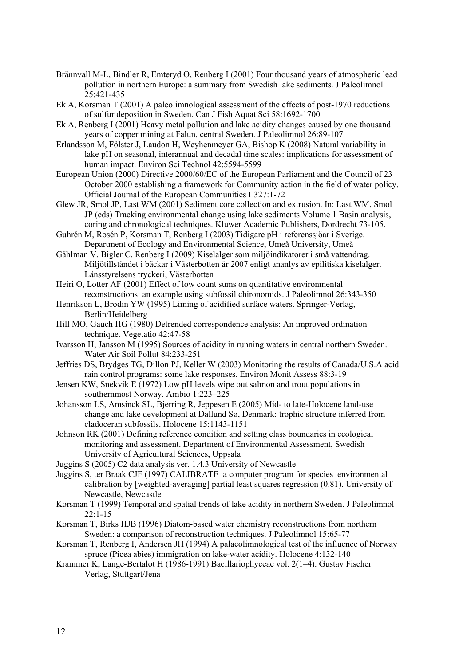- Brännvall M-L, Bindler R, Emteryd O, Renberg I (2001) Four thousand years of atmospheric lead pollution in northern Europe: a summary from Swedish lake sediments. J Paleolimnol 25:421-435
- Ek A, Korsman T (2001) A paleolimnological assessment of the effects of post-1970 reductions of sulfur deposition in Sweden. Can J Fish Aquat Sci 58:1692-1700
- Ek A, Renberg I (2001) Heavy metal pollution and lake acidity changes caused by one thousand years of copper mining at Falun, central Sweden. J Paleolimnol 26:89-107
- Erlandsson M, Fölster J, Laudon H, Weyhenmeyer GA, Bishop K (2008) Natural variability in lake pH on seasonal, interannual and decadal time scales: implications for assessment of human impact. Environ Sci Technol 42:5594-5599
- European Union (2000) Directive 2000/60/EC of the European Parliament and the Council of 23 October 2000 establishing a framework for Community action in the field of water policy. Official Journal of the European Communities L327:1-72
- Glew JR, Smol JP, Last WM (2001) Sediment core collection and extrusion. In: Last WM, Smol JP (eds) Tracking environmental change using lake sediments Volume 1 Basin analysis, coring and chronological techniques. Kluwer Academic Publishers, Dordrecht 73-105.
- Guhrén M, Rosén P, Korsman T, Renberg I (2003) Tidigare pH i referenssjöar i Sverige. Department of Ecology and Environmental Science, Umeå University, Umeå
- Gählman V, Bigler C, Renberg I (2009) Kiselalger som miljöindikatorer i små vattendrag. Miljötillståndet i bäckar i Västerbotten år 2007 enligt ananlys av epilitiska kiselalger. Länsstyrelsens tryckeri, Västerbotten
- Heiri O, Lotter AF (2001) Effect of low count sums on quantitative environmental reconstructions: an example using subfossil chironomids. J Paleolimnol 26:343-350
- Henrikson L, Brodin YW (1995) Liming of acidified surface waters. Springer-Verlag, Berlin/Heidelberg
- Hill MO, Gauch HG (1980) Detrended correspondence analysis: An improved ordination technique. Vegetatio 42:47-58
- Ivarsson H, Jansson M (1995) Sources of acidity in running waters in central northern Sweden. Water Air Soil Pollut 84:233-251
- Jeffries DS, Brydges TG, Dillon PJ, Keller W (2003) Monitoring the results of Canada/U.S.A acid rain control programs: some lake responses. Environ Monit Assess 88:3-19
- Jensen KW, Snekvik E (1972) Low pH levels wipe out salmon and trout populations in southernmost Norway. Ambio 1:223–225
- Johansson LS, Amsinck SL, Bjerring R, Jeppesen E (2005) Mid- to late-Holocene land-use change and lake development at Dallund Sø, Denmark: trophic structure inferred from cladoceran subfossils. Holocene 15:1143-1151
- Johnson RK (2001) Defining reference condition and setting class boundaries in ecological monitoring and assessment. Department of Environmental Assessment, Swedish University of Agricultural Sciences, Uppsala
- Juggins S (2005) C2 data analysis ver. 1.4.3 University of Newcastle
- Juggins S, ter Braak CJF (1997) CALIBRATE a computer program for species environmental calibration by [weighted-averaging] partial least squares regression (0.81). University of Newcastle, Newcastle
- Korsman T (1999) Temporal and spatial trends of lake acidity in northern Sweden. J Paleolimnol 22:1-15
- Korsman T, Birks HJB (1996) Diatom-based water chemistry reconstructions from northern Sweden: a comparison of reconstruction techniques. J Paleolimnol 15:65-77
- Korsman T, Renberg I, Andersen JH (1994) A palaeolimnological test of the influence of Norway spruce (Picea abies) immigration on lake-water acidity. Holocene 4:132-140
- Krammer K, Lange-Bertalot H (1986-1991) Bacillariophyceae vol. 2(1–4). Gustav Fischer Verlag, Stuttgart/Jena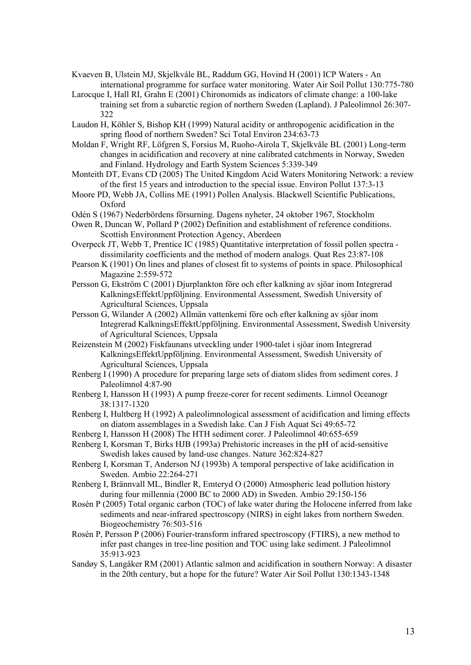- Kvaeven B, Ulstein MJ, Skjelkvåle BL, Raddum GG, Hovind H (2001) ICP Waters An international programme for surface water monitoring. Water Air Soil Pollut 130:775-780
- Larocque I, Hall RI, Grahn E (2001) Chironomids as indicators of climate change: a 100-lake training set from a subarctic region of northern Sweden (Lapland). J Paleolimnol 26:307- 322
- Laudon H, Köhler S, Bishop KH (1999) Natural acidity or anthropogenic acidification in the spring flood of northern Sweden? Sci Total Environ 234:63-73
- Moldan F, Wright RF, Löfgren S, Forsius M, Ruoho-Airola T, Skjelkvåle BL (2001) Long-term changes in acidification and recovery at nine calibrated catchments in Norway, Sweden and Finland. Hydrology and Earth System Sciences 5:339-349
- Monteith DT, Evans CD (2005) The United Kingdom Acid Waters Monitoring Network: a review of the first 15 years and introduction to the special issue. Environ Pollut 137:3-13
- Moore PD, Webb JA, Collins ME (1991) Pollen Analysis. Blackwell Scientific Publications, Oxford
- Odén S (1967) Nederbördens försurning. Dagens nyheter, 24 oktober 1967, Stockholm
- Owen R, Duncan W, Pollard P (2002) Definition and establishment of reference conditions. Scottish Environment Protection Agency, Aberdeen
- Overpeck JT, Webb T, Prentice IC (1985) Quantitative interpretation of fossil pollen spectra dissimilarity coefficients and the method of modern analogs. Quat Res 23:87-108
- Pearson K (1901) On lines and planes of closest fit to systems of points in space. Philosophical Magazine 2:559-572
- Persson G, Ekström C (2001) Djurplankton före och efter kalkning av sjöar inom Integrerad KalkningsEffektUppföljning. Environmental Assessment, Swedish University of Agricultural Sciences, Uppsala
- Persson G, Wilander A (2002) Allmän vattenkemi före och efter kalkning av sjöar inom Integrerad KalkningsEffektUppföljning. Environmental Assessment, Swedish University of Agricultural Sciences, Uppsala
- Reizenstein M (2002) Fiskfaunans utveckling under 1900-talet i sjöar inom Integrerad KalkningsEffektUppföljning. Environmental Assessment, Swedish University of Agricultural Sciences, Uppsala
- Renberg I (1990) A procedure for preparing large sets of diatom slides from sediment cores. J Paleolimnol 4:87-90
- Renberg I, Hansson H (1993) A pump freeze-corer for recent sediments. Limnol Oceanogr 38:1317-1320
- Renberg I, Hultberg H (1992) A paleolimnological assessment of acidification and liming effects on diatom assemblages in a Swedish lake. Can J Fish Aquat Sci 49:65-72
- Renberg I, Hansson H (2008) The HTH sediment corer. J Paleolimnol 40:655-659
- Renberg I, Korsman T, Birks HJB (1993a) Prehistoric increases in the pH of acid-sensitive Swedish lakes caused by land-use changes. Nature 362:824-827
- Renberg I, Korsman T, Anderson NJ (1993b) A temporal perspective of lake acidification in Sweden. Ambio 22:264-271
- Renberg I, Brännvall ML, Bindler R, Emteryd O (2000) Atmospheric lead pollution history during four millennia (2000 BC to 2000 AD) in Sweden. Ambio 29:150-156
- Rosén P (2005) Total organic carbon (TOC) of lake water during the Holocene inferred from lake sediments and near-infrared spectroscopy (NIRS) in eight lakes from northern Sweden. Biogeochemistry 76:503-516
- Rosén P, Persson P (2006) Fourier-transform infrared spectroscopy (FTIRS), a new method to infer past changes in tree-line position and TOC using lake sediment. J Paleolimnol 35:913-923
- Sandøy S, Langåker RM (2001) Atlantic salmon and acidification in southern Norway: A disaster in the 20th century, but a hope for the future? Water Air Soil Pollut 130:1343-1348